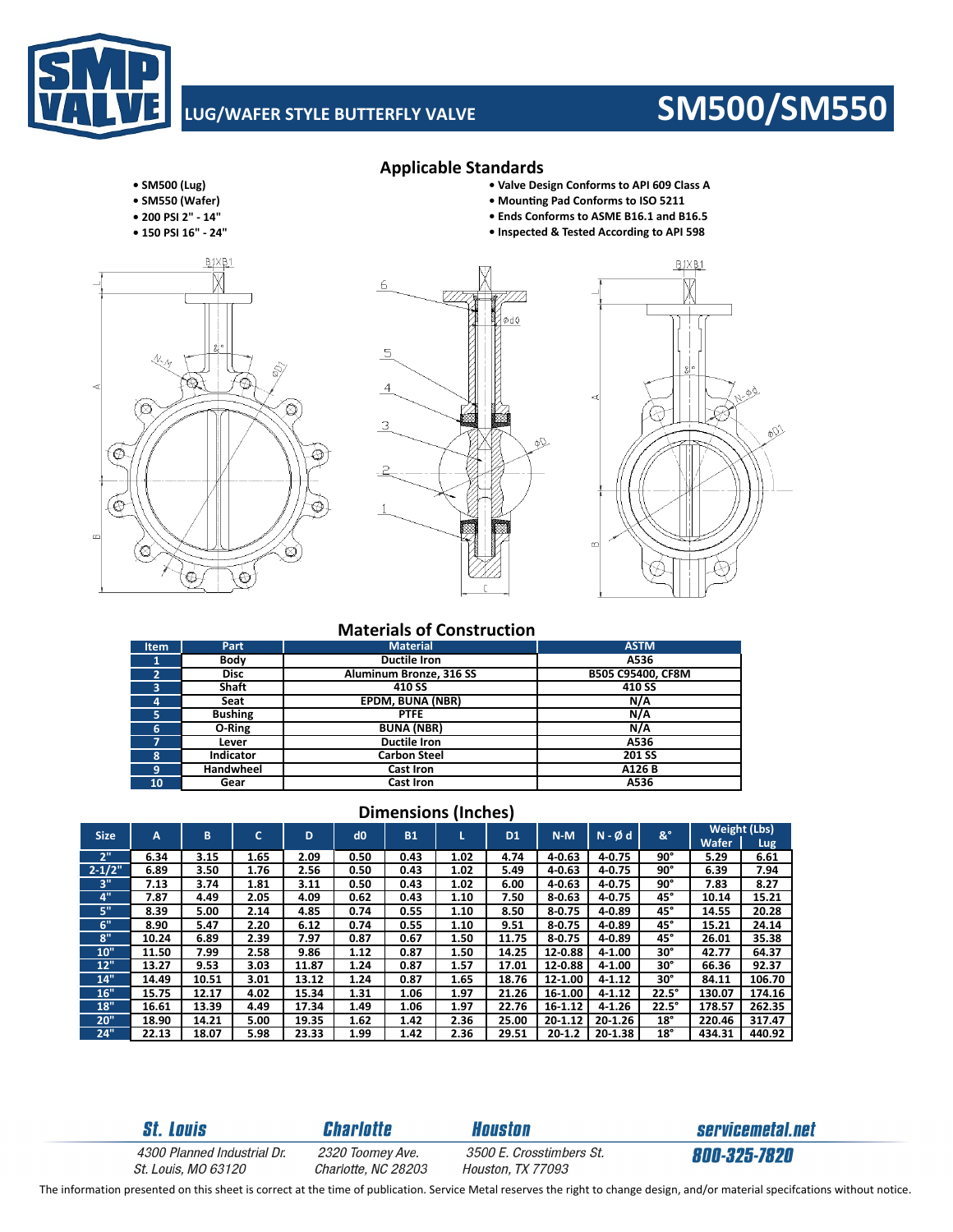# **LUG/WAFER STYLE BUTTERFLY VALVE SM500/SM550**

### **• SM500 (Lug) • Valve Design Conforms to API 609 Class A**

- **SM550 (Wafer) MounƟng Pad Conforms to ISO 5211**
- **200 PSI 2" ‐ 14"**
- **150 PSI 16" ‐ 24"**





**Applicable Standards**



**• Ends Conforms to ASME B16.1 and B16.5**

## **Materials of Construction**

| <b>Item</b> | Part           | <b>Material</b>         | <b>ASTM</b>       |
|-------------|----------------|-------------------------|-------------------|
|             | Body           | <b>Ductile Iron</b>     | A536              |
| 2           | <b>Disc</b>    | Aluminum Bronze, 316 SS | B505 C95400, CF8M |
| 3           | <b>Shaft</b>   | 410 SS                  | 410 SS            |
| 4           | Seat           | <b>EPDM, BUNA (NBR)</b> | N/A               |
| 5.          | <b>Bushing</b> | <b>PTFE</b>             | N/A               |
| 6           | O-Ring         | <b>BUNA (NBR)</b>       | N/A               |
| 7           | Lever          | <b>Ductile Iron</b>     | A536              |
| 8           | Indicator      | <b>Carbon Steel</b>     | 201 SS            |
| 9           | Handwheel      | Cast Iron               | A126 B            |
| 10          | Gear           | <b>Cast Iron</b>        | A536              |

## **Dimensions (Inches)**

| <b>Size</b> | A     | в     | c    | D     | d0   | <b>B1</b> |      | D <sub>1</sub> | $N-M$       | $N - \emptyset$ d | &°           | <b>Weight (Lbs)</b> |        |
|-------------|-------|-------|------|-------|------|-----------|------|----------------|-------------|-------------------|--------------|---------------------|--------|
|             |       |       |      |       |      |           |      |                |             |                   |              | Wafer               | Lug.   |
| 2"          | 6.34  | 3.15  | 1.65 | 2.09  | 0.50 | 0.43      | 1.02 | 4.74           | 4 0.63      | 4 0.75            | 90°          | 5.29                | 6.61   |
| $2 - 1/2"$  | 6.89  | 3.50  | 1.76 | 2.56  | 0.50 | 0.43      | 1.02 | 5.49           | $4 - 0.63$  | 4-0.75            | 90°          | 6.39                | 7.94   |
| 3"          | 7.13  | 3.74  | 1.81 | 3.11  | 0.50 | 0.43      | 1.02 | 6.00           | $4 - 0.63$  | 4 0.75            | 90°          | 7.83                | 8.27   |
| 4"          | 7.87  | 4.49  | 2.05 | 4.09  | 0.62 | 0.43      | 1.10 | 7.50           | $8 - 0.63$  | 4 0.75            | 45°          | 10.14               | 15.21  |
| 5"          | 8.39  | 5.00  | 2.14 | 4.85  | 0.74 | 0.55      | 1.10 | 8.50           | $8 - 0.75$  | $4 - 0.89$        | 45°          | 14.55               | 20.28  |
| 6"          | 8.90  | 5.47  | 2.20 | 6.12  | 0.74 | 0.55      | 1.10 | 9.51           | 8 0.75      | $4 - 0.89$        | 45°          | 15.21               | 24.14  |
| 8"          | 10.24 | 6.89  | 2.39 | 7.97  | 0.87 | 0.67      | 1.50 | 11.75          | $8 - 0.75$  | 4 0.89            | 45°          | 26.01               | 35.38  |
| 10"         | 11.50 | 7.99  | 2.58 | 9.86  | 1.12 | 0.87      | 1.50 | 14.25          | 12-0.88     | $4 - 1.00$        | 30°          | 42.77               | 64.37  |
| 12"         | 13.27 | 9.53  | 3.03 | 11.87 | 1.24 | 0.87      | 1.57 | 17.01          | 12-0.88     | $4 - 1.00$        | 30°          | 66.36               | 92.37  |
| 14"         | 14.49 | 10.51 | 3.01 | 13.12 | 1.24 | 0.87      | 1.65 | 18.76          | 12-1.00     | $4 - 1.12$        | 30°          | 84.11               | 106.70 |
| 16"         | 15.75 | 12.17 | 4.02 | 15.34 | 1.31 | 1.06      | 1.97 | 21.26          | 16-1.00     | $4 - 1.12$        | $22.5^\circ$ | 130.07              | 174.16 |
| 18"         | 16.61 | 13.39 | 4.49 | 17.34 | 1.49 | 1.06      | 1.97 | 22.76          | 16-1.12     | $4 - 1.26$        | $22.5^\circ$ | 178.57              | 262.35 |
| 20"         | 18.90 | 14.21 | 5.00 | 19.35 | 1.62 | 1.42      | 2.36 | 25.00          | $20 - 1.12$ | 20-1.26           | $18^{\circ}$ | 220.46              | 317.47 |
| 24"         | 22.13 | 18.07 | 5.98 | 23.33 | 1.99 | 1.42      | 2.36 | 29.51          | $20 - 1.2$  | 20-1.38           | $18^{\circ}$ | 434.31              | 440.92 |

**St. Louis** 

**Charlotte** 

**Houston** 3500 E. Crosstimbers St.

servicemetal.net 800-325-7820

4300 Planned Industrial Dr. St. Louis, MO 63120

2320 Toomey Ave. Charlotte, NC 28203

Houston, TX 77093

The information presented on this sheet is correct at the time of publication. Service Metal reserves the right to change design, and/or material specifcations without notice.